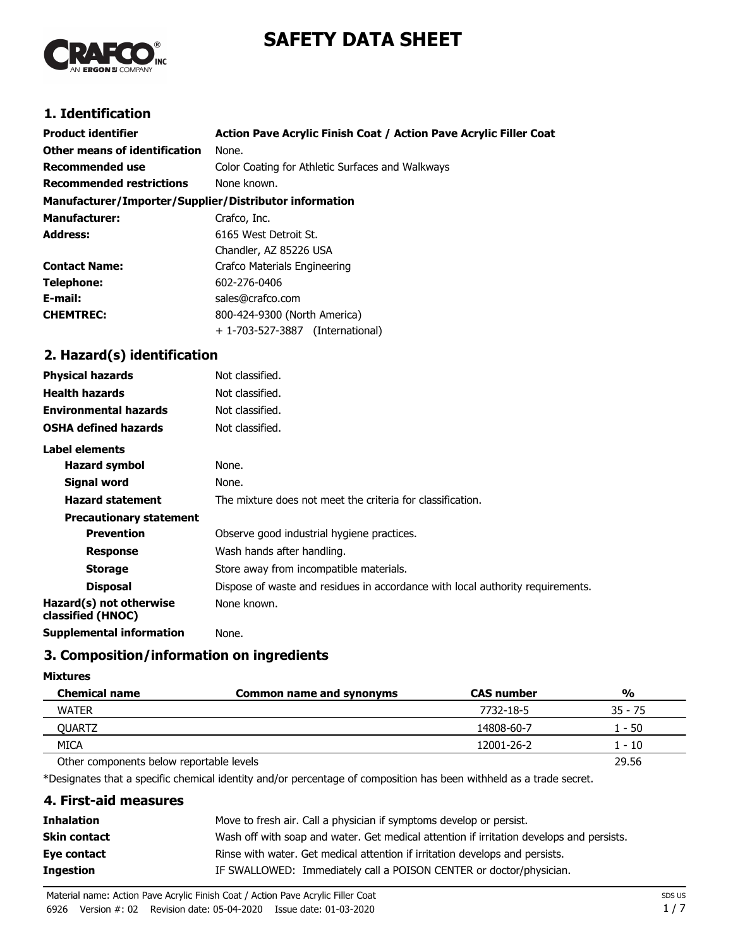# **SAFETY DATA SHEET**



# **1. Identification**

| <b>Product identifier</b>                              | Action Pave Acrylic Finish Coat / Action Pave Acrylic Filler Coat |
|--------------------------------------------------------|-------------------------------------------------------------------|
| Other means of identification                          | None.                                                             |
| Recommended use                                        | Color Coating for Athletic Surfaces and Walkways                  |
| <b>Recommended restrictions</b>                        | None known.                                                       |
| Manufacturer/Importer/Supplier/Distributor information |                                                                   |
| <b>Manufacturer:</b>                                   | Crafco, Inc.                                                      |
| <b>Address:</b>                                        | 6165 West Detroit St.                                             |
|                                                        | Chandler, AZ 85226 USA                                            |
| <b>Contact Name:</b>                                   | Crafco Materials Engineering                                      |
| Telephone:                                             | 602-276-0406                                                      |
| E-mail:                                                | sales@crafco.com                                                  |
| <b>CHEMTREC:</b>                                       | 800-424-9300 (North America)                                      |
|                                                        | + 1-703-527-3887 (International)                                  |
| 2. Hazard(s) identification                            |                                                                   |

## **Physical hazards** Not classified. **Health hazards** Not classified. **Environmental hazards** Not classified. **OSHA defined hazards** Not classified. **Label elements** Hazard symbol None. **Signal word** None. **Hazard statement** The mixture does not meet the criteria for classification. **Precautionary statement Prevention Observe good industrial hygiene practices. Response** Wash hands after handling. **Storage** Store away from incompatible materials. **Disposal Dispose of waste and residues in accordance with local authority requirements. Hazard(s) not otherwise classified (HNOC)** None known. **Supplemental information** None.

# **3. Composition/information on ingredients**

#### **Mixtures**

| <b>Chemical name</b>                     | Common name and synonyms | <b>CAS number</b> | $\frac{0}{0}$ |
|------------------------------------------|--------------------------|-------------------|---------------|
| <b>WATER</b>                             |                          | 7732-18-5         | $35 - 75$     |
| OUARTZ                                   |                          | 14808-60-7        | - 50          |
| <b>MICA</b>                              |                          | 12001-26-2        | - 10          |
| Other components below reportable levels |                          |                   | 29.56         |

\*Designates that a specific chemical identity and/or percentage of composition has been withheld as a trade secret.

## **4. First-aid measures**

| <b>Inhalation</b> | Move to fresh air. Call a physician if symptoms develop or persist.                      |
|-------------------|------------------------------------------------------------------------------------------|
| Skin contact      | Wash off with soap and water. Get medical attention if irritation develops and persists. |
| Eye contact       | Rinse with water. Get medical attention if irritation develops and persists.             |
| Ingestion         | IF SWALLOWED: Immediately call a POISON CENTER or doctor/physician.                      |
|                   |                                                                                          |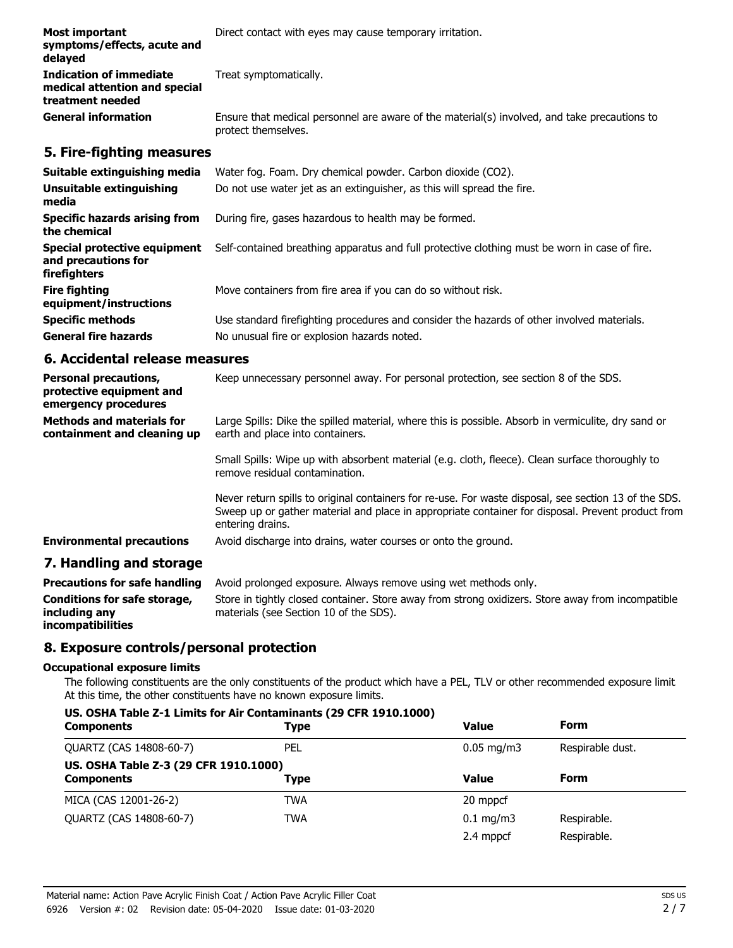| Most important<br>symptoms/effects, acute and<br>delayed                            | Direct contact with eyes may cause temporary irritation.                                                            |  |
|-------------------------------------------------------------------------------------|---------------------------------------------------------------------------------------------------------------------|--|
| <b>Indication of immediate</b><br>medical attention and special<br>treatment needed | Treat symptomatically.                                                                                              |  |
| <b>General information</b>                                                          | Ensure that medical personnel are aware of the material(s) involved, and take precautions to<br>protect themselves. |  |

## **5. Fire-fighting measures**

| Suitable extinguishing media<br>Unsuitable extinguishing<br>media   | Water fog. Foam. Dry chemical powder. Carbon dioxide (CO2).<br>Do not use water jet as an extinguisher, as this will spread the fire. |
|---------------------------------------------------------------------|---------------------------------------------------------------------------------------------------------------------------------------|
| <b>Specific hazards arising from</b><br>the chemical                | During fire, gases hazardous to health may be formed.                                                                                 |
| Special protective equipment<br>and precautions for<br>firefighters | Self-contained breathing apparatus and full protective clothing must be worn in case of fire.                                         |
| <b>Fire fighting</b><br>equipment/instructions                      | Move containers from fire area if you can do so without risk.                                                                         |
| <b>Specific methods</b>                                             | Use standard firefighting procedures and consider the hazards of other involved materials.                                            |
| <b>General fire hazards</b>                                         | No unusual fire or explosion hazards noted.                                                                                           |

## **6. Accidental release measures**

| <b>Personal precautions,</b><br>protective equipment and<br>emergency procedures | Keep unnecessary personnel away. For personal protection, see section 8 of the SDS.                                                                                                                                            |
|----------------------------------------------------------------------------------|--------------------------------------------------------------------------------------------------------------------------------------------------------------------------------------------------------------------------------|
| <b>Methods and materials for</b><br>containment and cleaning up                  | Large Spills: Dike the spilled material, where this is possible. Absorb in vermiculite, dry sand or<br>earth and place into containers.                                                                                        |
|                                                                                  | Small Spills: Wipe up with absorbent material (e.g. cloth, fleece). Clean surface thoroughly to<br>remove residual contamination.                                                                                              |
|                                                                                  | Never return spills to original containers for re-use. For waste disposal, see section 13 of the SDS.<br>Sweep up or gather material and place in appropriate container for disposal. Prevent product from<br>entering drains. |
| <b>Environmental precautions</b>                                                 | Avoid discharge into drains, water courses or onto the ground.                                                                                                                                                                 |
| 7. Handling and storage                                                          |                                                                                                                                                                                                                                |

| <b>Precautions for safe handling</b>          | Avoid prolonged exposure. Always remove using wet methods only.                                                                             |
|-----------------------------------------------|---------------------------------------------------------------------------------------------------------------------------------------------|
| Conditions for safe storage,<br>including any | Store in tightly closed container. Store away from strong oxidizers. Store away from incompatible<br>materials (see Section 10 of the SDS). |
| <i>incompatibilities</i>                      |                                                                                                                                             |

# **8. Exposure controls/personal protection**

#### **Occupational exposure limits**

The following constituents are the only constituents of the product which have a PEL, TLV or other recommended exposure limit. At this time, the other constituents have no known exposure limits.

### **US. OSHA Table Z-1 Limits for Air Contaminants (29 CFR 1910.1000)**

| <b>Components</b>                     | Type       | Value                  | <b>Form</b>      |
|---------------------------------------|------------|------------------------|------------------|
| QUARTZ (CAS 14808-60-7)               | PEL        | $0.05 \,\mathrm{mg/m}$ | Respirable dust. |
| US. OSHA Table Z-3 (29 CFR 1910.1000) |            |                        |                  |
| <b>Components</b>                     | Type       | <b>Value</b>           | Form             |
| MICA (CAS 12001-26-2)                 | <b>TWA</b> | 20 mppcf               |                  |
| QUARTZ (CAS 14808-60-7)               | TWA        | $0.1 \text{ mg/m}$     | Respirable.      |
|                                       |            | 2.4 mppcf              | Respirable.      |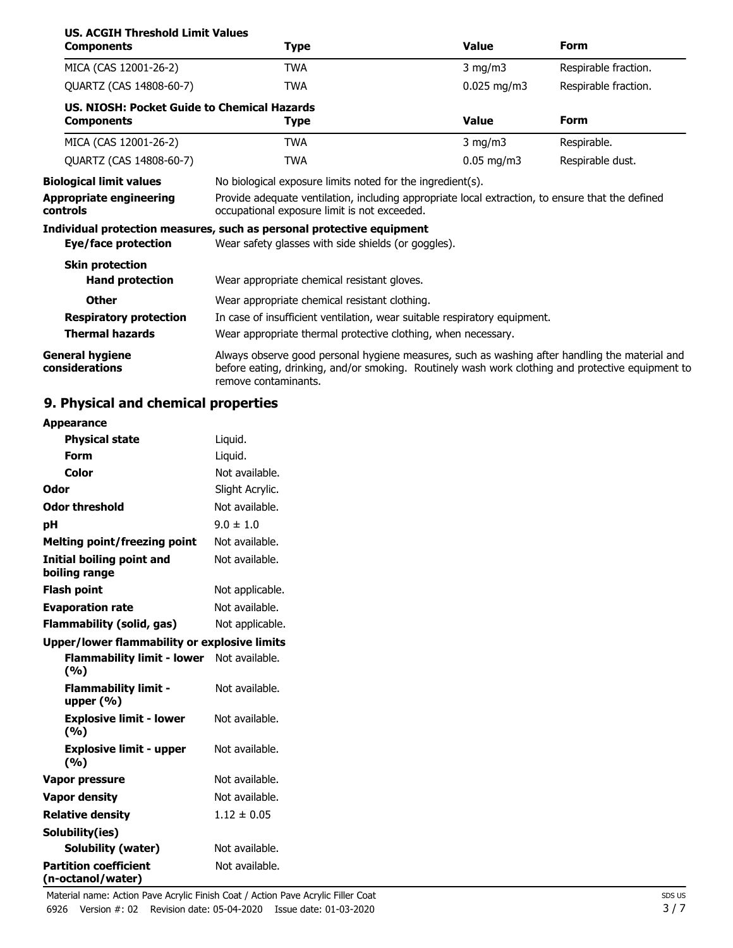| <b>US. ACGIH Threshold Limit Values</b><br><b>Components</b>                                        | Type                                                                                                                                                                                                                                                                                                                                           | <b>Value</b>  | <b>Form</b>          |
|-----------------------------------------------------------------------------------------------------|------------------------------------------------------------------------------------------------------------------------------------------------------------------------------------------------------------------------------------------------------------------------------------------------------------------------------------------------|---------------|----------------------|
| MICA (CAS 12001-26-2)                                                                               | TWA                                                                                                                                                                                                                                                                                                                                            | $3$ mg/m $3$  | Respirable fraction. |
| QUARTZ (CAS 14808-60-7)                                                                             | <b>TWA</b>                                                                                                                                                                                                                                                                                                                                     | $0.025$ mg/m3 | Respirable fraction. |
| US. NIOSH: Pocket Guide to Chemical Hazards<br><b>Components</b>                                    | Type                                                                                                                                                                                                                                                                                                                                           | <b>Value</b>  | <b>Form</b>          |
| MICA (CAS 12001-26-2)                                                                               | TWA                                                                                                                                                                                                                                                                                                                                            | $3$ mg/m $3$  | Respirable.          |
| QUARTZ (CAS 14808-60-7)                                                                             | <b>TWA</b>                                                                                                                                                                                                                                                                                                                                     | $0.05$ mg/m3  | Respirable dust.     |
| <b>Biological limit values</b><br><b>Appropriate engineering</b><br>controls<br>Eye/face protection | No biological exposure limits noted for the ingredient(s).<br>Provide adequate ventilation, including appropriate local extraction, to ensure that the defined<br>occupational exposure limit is not exceeded.<br>Individual protection measures, such as personal protective equipment<br>Wear safety glasses with side shields (or goggles). |               |                      |
| <b>Skin protection</b><br><b>Hand protection</b>                                                    | Wear appropriate chemical resistant gloves.                                                                                                                                                                                                                                                                                                    |               |                      |
| <b>Other</b>                                                                                        | Wear appropriate chemical resistant clothing.                                                                                                                                                                                                                                                                                                  |               |                      |
| <b>Respiratory protection</b>                                                                       | In case of insufficient ventilation, wear suitable respiratory equipment.                                                                                                                                                                                                                                                                      |               |                      |
| <b>Thermal hazards</b>                                                                              | Wear appropriate thermal protective clothing, when necessary.                                                                                                                                                                                                                                                                                  |               |                      |
| <b>General hygiene</b><br>considerations                                                            | Always observe good personal hygiene measures, such as washing after handling the material and<br>before eating, drinking, and/or smoking. Routinely wash work clothing and protective equipment to<br>remove contaminants.                                                                                                                    |               |                      |

# **9. Physical and chemical properties**

| <b>Appearance</b>                                   |                 |
|-----------------------------------------------------|-----------------|
| <b>Physical state</b>                               | Liquid.         |
| Form                                                | Liquid.         |
| Color                                               | Not available.  |
| Odor                                                | Slight Acrylic. |
| <b>Odor threshold</b>                               | Not available.  |
| рH                                                  | $9.0 \pm 1.0$   |
| <b>Melting point/freezing point</b>                 | Not available.  |
| <b>Initial boiling point and</b><br>boiling range   | Not available.  |
| <b>Flash point</b>                                  | Not applicable. |
| <b>Evaporation rate</b>                             | Not available.  |
| <b>Flammability (solid, gas)</b>                    | Not applicable. |
| <b>Upper/lower flammability or explosive limits</b> |                 |
| <b>Flammability limit - lower</b><br>(%)            | Not available.  |
| <b>Flammability limit -</b><br>upper $(% )$         | Not available.  |
| <b>Explosive limit - lower</b><br>(%)               | Not available.  |
| <b>Explosive limit - upper</b><br>(%)               | Not available.  |
| <b>Vapor pressure</b>                               | Not available.  |
| <b>Vapor density</b>                                | Not available.  |
| <b>Relative density</b>                             | $1.12 \pm 0.05$ |
| Solubility(ies)                                     |                 |
| <b>Solubility (water)</b>                           | Not available.  |
| <b>Partition coefficient</b><br>(n-octanol/water)   | Not available.  |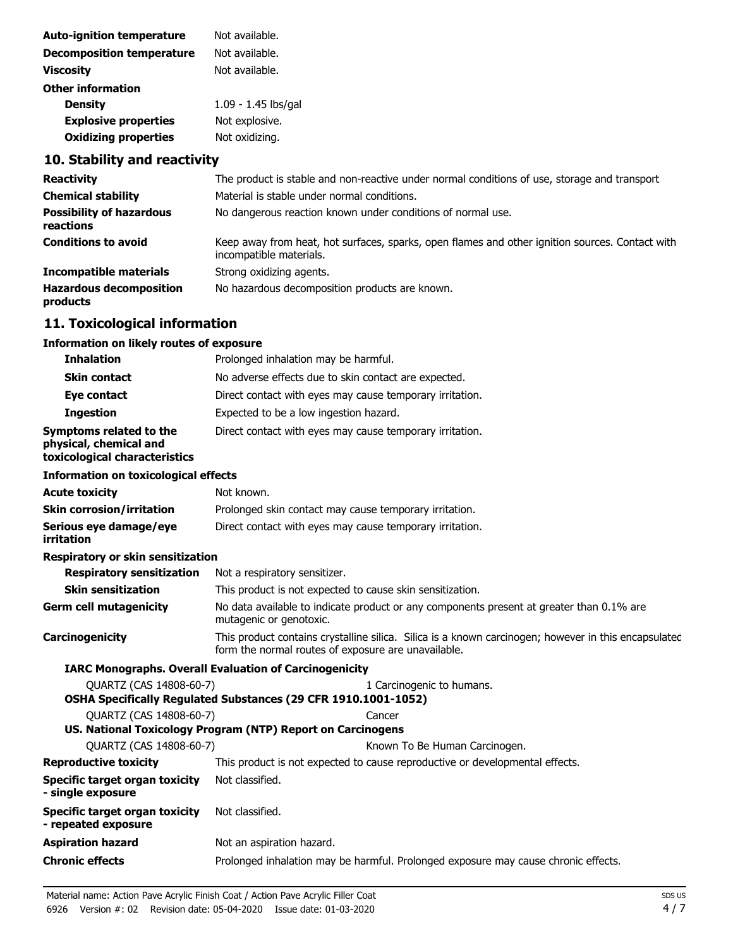| Not available.      |
|---------------------|
| Not available.      |
| Not available.      |
|                     |
| 1.09 - 1.45 lbs/gal |
| Not explosive.      |
| Not oxidizing.      |
|                     |

# **10. Stability and reactivity**

| <b>Reactivity</b>                            | The product is stable and non-reactive under normal conditions of use, storage and transport.                              |
|----------------------------------------------|----------------------------------------------------------------------------------------------------------------------------|
| <b>Chemical stability</b>                    | Material is stable under normal conditions.                                                                                |
| <b>Possibility of hazardous</b><br>reactions | No dangerous reaction known under conditions of normal use.                                                                |
| <b>Conditions to avoid</b>                   | Keep away from heat, hot surfaces, sparks, open flames and other ignition sources. Contact with<br>incompatible materials. |
| Incompatible materials                       | Strong oxidizing agents.                                                                                                   |
| <b>Hazardous decomposition</b><br>products   | No hazardous decomposition products are known.                                                                             |

# **11. Toxicological information**

## **Information on likely routes of exposure**

| <b>Inhalation</b>                                                                  | Prolonged inhalation may be harmful.                     |
|------------------------------------------------------------------------------------|----------------------------------------------------------|
| <b>Skin contact</b>                                                                | No adverse effects due to skin contact are expected.     |
| Eye contact                                                                        | Direct contact with eyes may cause temporary irritation. |
| <b>Ingestion</b>                                                                   | Expected to be a low ingestion hazard.                   |
| Symptoms related to the<br>physical, chemical and<br>toxicological characteristics | Direct contact with eyes may cause temporary irritation. |

#### **Information on toxicological effects**

| <b>Acute toxicity</b>                                        | Not known.                                                                                                                                                  |  |  |
|--------------------------------------------------------------|-------------------------------------------------------------------------------------------------------------------------------------------------------------|--|--|
| <b>Skin corrosion/irritation</b>                             | Prolonged skin contact may cause temporary irritation.                                                                                                      |  |  |
| Serious eye damage/eye<br>irritation                         | Direct contact with eyes may cause temporary irritation.                                                                                                    |  |  |
| <b>Respiratory or skin sensitization</b>                     |                                                                                                                                                             |  |  |
| <b>Respiratory sensitization</b>                             | Not a respiratory sensitizer.                                                                                                                               |  |  |
| <b>Skin sensitization</b>                                    | This product is not expected to cause skin sensitization.                                                                                                   |  |  |
| <b>Germ cell mutagenicity</b>                                | No data available to indicate product or any components present at greater than 0.1% are<br>mutagenic or genotoxic.                                         |  |  |
| Carcinogenicity                                              | This product contains crystalline silica. Silica is a known carcinogen; however in this encapsulated<br>form the normal routes of exposure are unavailable. |  |  |
|                                                              | <b>IARC Monographs. Overall Evaluation of Carcinogenicity</b>                                                                                               |  |  |
| OUARTZ (CAS 14808-60-7)                                      | 1 Carcinogenic to humans.                                                                                                                                   |  |  |
|                                                              | OSHA Specifically Regulated Substances (29 CFR 1910.1001-1052)                                                                                              |  |  |
| QUARTZ (CAS 14808-60-7)                                      | Cancer                                                                                                                                                      |  |  |
|                                                              | US. National Toxicology Program (NTP) Report on Carcinogens                                                                                                 |  |  |
| QUARTZ (CAS 14808-60-7)                                      | Known To Be Human Carcinogen.                                                                                                                               |  |  |
| <b>Reproductive toxicity</b>                                 | This product is not expected to cause reproductive or developmental effects.                                                                                |  |  |
| Specific target organ toxicity<br>- single exposure          | Not classified.                                                                                                                                             |  |  |
| <b>Specific target organ toxicity</b><br>- repeated exposure | Not classified.                                                                                                                                             |  |  |
| <b>Aspiration hazard</b>                                     | Not an aspiration hazard.                                                                                                                                   |  |  |
| <b>Chronic effects</b>                                       | Prolonged inhalation may be harmful. Prolonged exposure may cause chronic effects.                                                                          |  |  |
|                                                              |                                                                                                                                                             |  |  |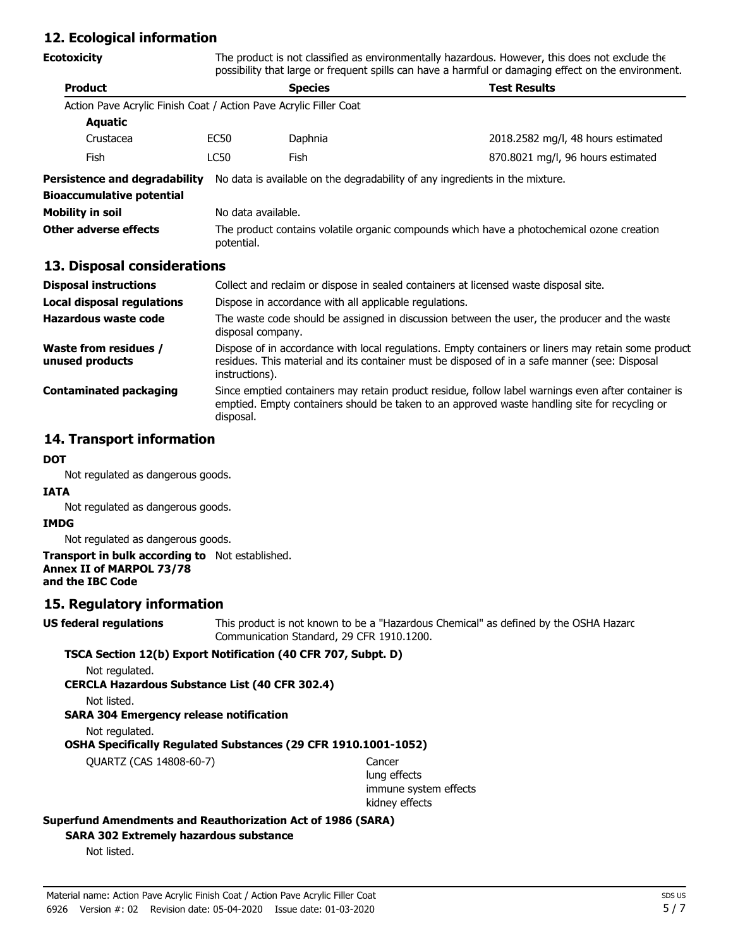## **12. Ecological information**

| <b>Ecotoxicity</b>                                                | The product is not classified as environmentally hazardous. However, this does not exclude the<br>possibility that large or frequent spills can have a harmful or damaging effect on the environment.                  |                                                                                                                   |                                    |  |
|-------------------------------------------------------------------|------------------------------------------------------------------------------------------------------------------------------------------------------------------------------------------------------------------------|-------------------------------------------------------------------------------------------------------------------|------------------------------------|--|
| <b>Product</b>                                                    | <b>Species</b>                                                                                                                                                                                                         |                                                                                                                   | <b>Test Results</b>                |  |
| Action Pave Acrylic Finish Coat / Action Pave Acrylic Filler Coat |                                                                                                                                                                                                                        |                                                                                                                   |                                    |  |
| Aquatic                                                           |                                                                                                                                                                                                                        |                                                                                                                   |                                    |  |
| Crustacea                                                         | EC <sub>50</sub>                                                                                                                                                                                                       | Daphnia                                                                                                           | 2018.2582 mg/l, 48 hours estimated |  |
| Fish                                                              | <b>LC50</b>                                                                                                                                                                                                            | Fish                                                                                                              | 870.8021 mg/l, 96 hours estimated  |  |
| <b>Persistence and degradability</b>                              |                                                                                                                                                                                                                        | No data is available on the degradability of any ingredients in the mixture.                                      |                                    |  |
| <b>Bioaccumulative potential</b>                                  |                                                                                                                                                                                                                        |                                                                                                                   |                                    |  |
| <b>Mobility in soil</b>                                           |                                                                                                                                                                                                                        | No data available.                                                                                                |                                    |  |
| Other adverse effects                                             | The product contains volatile organic compounds which have a photochemical ozone creation<br>potential.                                                                                                                |                                                                                                                   |                                    |  |
| 13. Disposal considerations                                       |                                                                                                                                                                                                                        |                                                                                                                   |                                    |  |
| <b>Disposal instructions</b>                                      |                                                                                                                                                                                                                        | Collect and reclaim or dispose in sealed containers at licensed waste disposal site.                              |                                    |  |
| <b>Local disposal regulations</b>                                 |                                                                                                                                                                                                                        | Dispose in accordance with all applicable regulations.                                                            |                                    |  |
| Hazardous waste code                                              |                                                                                                                                                                                                                        | The waste code should be assigned in discussion between the user, the producer and the waste<br>disposal company. |                                    |  |
| <b>Waste from residues /</b><br>unused products                   | Dispose of in accordance with local regulations. Empty containers or liners may retain some product<br>residues. This material and its container must be disposed of in a safe manner (see: Disposal<br>instructions). |                                                                                                                   |                                    |  |
| <b>Contaminated packaging</b>                                     | Since emptied containers may retain product residue, follow label warnings even after container is<br>emptied. Empty containers should be taken to an approved waste handling site for recycling or<br>disposal.       |                                                                                                                   |                                    |  |

## **14. Transport information**

#### **DOT**

Not regulated as dangerous goods.

#### **IATA**

Not regulated as dangerous goods.

#### **IMDG**

Not regulated as dangerous goods.

#### **Transport in bulk according to** Not established. **Annex II of MARPOL 73/78 and the IBC Code**

## **15. Regulatory information**

This product is not known to be a "Hazardous Chemical" as defined by the OSHA Hazard Communication Standard, 29 CFR 1910.1200. **US federal regulations**

## **TSCA Section 12(b) Export Notification (40 CFR 707, Subpt. D)**

Not regulated.

**CERCLA Hazardous Substance List (40 CFR 302.4)**

Not listed.

## **SARA 304 Emergency release notification**

Not regulated.

**OSHA Specifically Regulated Substances (29 CFR 1910.1001-1052)**

QUARTZ (CAS 14808-60-7) Cancer

lung effects immune system effects kidney effects

#### **Superfund Amendments and Reauthorization Act of 1986 (SARA)**

**SARA 302 Extremely hazardous substance**

Not listed.